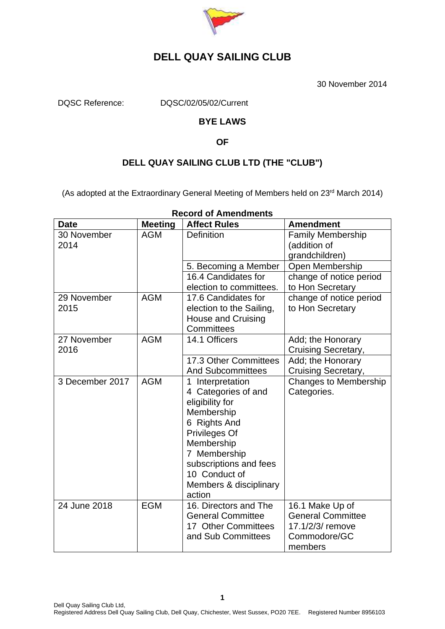

30 November 2014

DQSC Reference: DQSC/02/05/02/Current

### **BYE LAWS**

#### **OF**

### **DELL QUAY SAILING CLUB LTD (THE "CLUB")**

(As adopted at the Extraordinary General Meeting of Members held on 23<sup>rd</sup> March 2014)

| <b>Date</b>         | <b>Meeting</b> | <b>Affect Rules</b>                                                                                                                                                                                                    | <b>Amendment</b>                                                                           |
|---------------------|----------------|------------------------------------------------------------------------------------------------------------------------------------------------------------------------------------------------------------------------|--------------------------------------------------------------------------------------------|
| 30 November<br>2014 | <b>AGM</b>     | <b>Definition</b>                                                                                                                                                                                                      | <b>Family Membership</b><br>(addition of<br>grandchildren)                                 |
|                     |                | 5. Becoming a Member                                                                                                                                                                                                   | Open Membership                                                                            |
|                     |                | 16.4 Candidates for<br>election to committees.                                                                                                                                                                         | change of notice period<br>to Hon Secretary                                                |
| 29 November<br>2015 | <b>AGM</b>     | 17.6 Candidates for<br>election to the Sailing,<br><b>House and Cruising</b><br>Committees                                                                                                                             | change of notice period<br>to Hon Secretary                                                |
| 27 November<br>2016 | <b>AGM</b>     | 14.1 Officers                                                                                                                                                                                                          | Add; the Honorary<br><b>Cruising Secretary,</b>                                            |
|                     |                | 17.3 Other Committees<br><b>And Subcommittees</b>                                                                                                                                                                      | Add; the Honorary<br><b>Cruising Secretary,</b>                                            |
| 3 December 2017     | <b>AGM</b>     | 1 Interpretation<br>4 Categories of and<br>eligibility for<br>Membership<br>6 Rights And<br>Privileges Of<br>Membership<br>7 Membership<br>subscriptions and fees<br>10 Conduct of<br>Members & disciplinary<br>action | <b>Changes to Membership</b><br>Categories.                                                |
| 24 June 2018        | <b>EGM</b>     | 16. Directors and The<br><b>General Committee</b><br>17 Other Committees<br>and Sub Committees                                                                                                                         | 16.1 Make Up of<br><b>General Committee</b><br>17.1/2/3/ remove<br>Commodore/GC<br>members |

#### **Record of Amendments**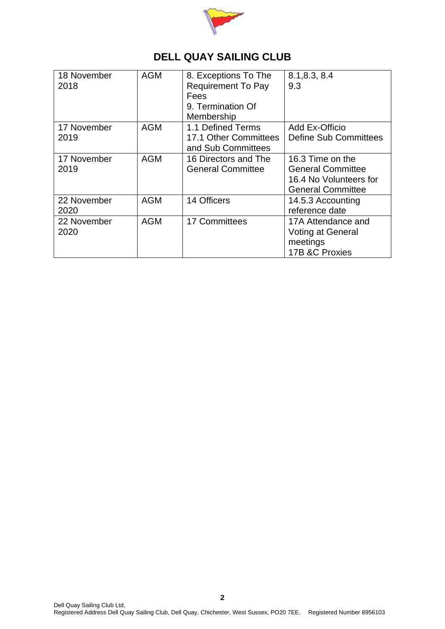

| 18 November<br>2018 | <b>AGM</b> | 8. Exceptions To The<br><b>Requirement To Pay</b><br>Fees<br>9. Termination Of<br>Membership | 8.1, 8.3, 8.4<br>9.3                                                                               |
|---------------------|------------|----------------------------------------------------------------------------------------------|----------------------------------------------------------------------------------------------------|
| 17 November<br>2019 | <b>AGM</b> | 1.1 Defined Terms<br>17.1 Other Committees<br>and Sub Committees                             | Add Ex-Officio<br><b>Define Sub Committees</b>                                                     |
| 17 November<br>2019 | <b>AGM</b> | 16 Directors and The<br><b>General Committee</b>                                             | 16.3 Time on the<br><b>General Committee</b><br>16.4 No Volunteers for<br><b>General Committee</b> |
| 22 November<br>2020 | <b>AGM</b> | 14 Officers                                                                                  | 14.5.3 Accounting<br>reference date                                                                |
| 22 November<br>2020 | <b>AGM</b> | 17 Committees                                                                                | 17A Attendance and<br><b>Voting at General</b><br>meetings<br>17B &C Proxies                       |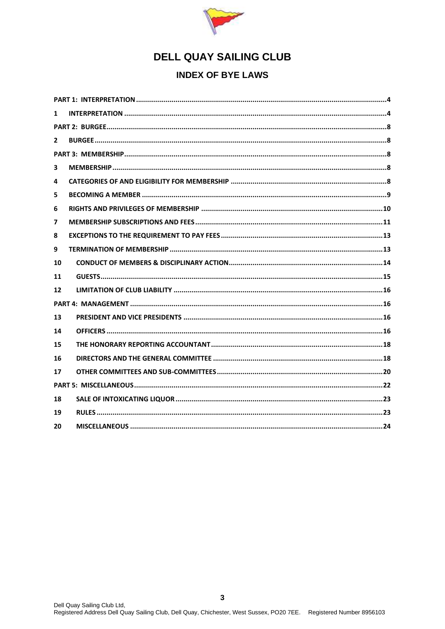

### **INDEX OF BYE LAWS**

| 1            |  |
|--------------|--|
|              |  |
| $\mathbf{2}$ |  |
|              |  |
| 3            |  |
| 4            |  |
| 5            |  |
| 6            |  |
| 7            |  |
| 8            |  |
| 9            |  |
| 10           |  |
| 11           |  |
| 12           |  |
|              |  |
| 13           |  |
| 14           |  |
| 15           |  |
| 16           |  |
| 17           |  |
|              |  |
| 18           |  |
| 19           |  |
| 20           |  |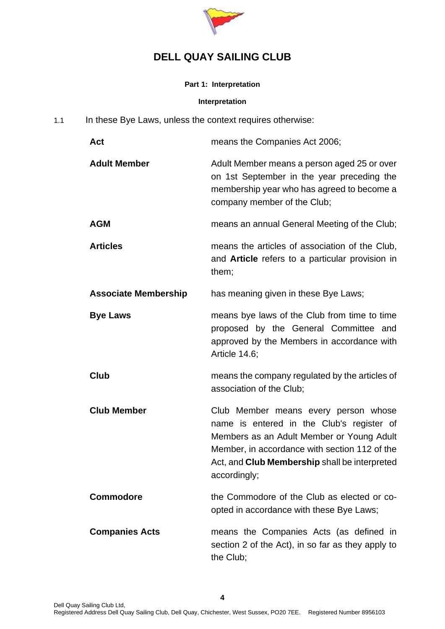

#### **Part 1: Interpretation**

#### <span id="page-3-1"></span>**Interpretation**

<span id="page-3-0"></span>1.1 In these Bye Laws, unless the context requires otherwise:

| Act                         | means the Companies Act 2006;                                                                                                                                                                                                                           |
|-----------------------------|---------------------------------------------------------------------------------------------------------------------------------------------------------------------------------------------------------------------------------------------------------|
| <b>Adult Member</b>         | Adult Member means a person aged 25 or over<br>on 1st September in the year preceding the<br>membership year who has agreed to become a<br>company member of the Club;                                                                                  |
| <b>AGM</b>                  | means an annual General Meeting of the Club;                                                                                                                                                                                                            |
| <b>Articles</b>             | means the articles of association of the Club,<br>and <b>Article</b> refers to a particular provision in<br>them;                                                                                                                                       |
| <b>Associate Membership</b> | has meaning given in these Bye Laws;                                                                                                                                                                                                                    |
| <b>Bye Laws</b>             | means bye laws of the Club from time to time<br>proposed by the General Committee and<br>approved by the Members in accordance with<br>Article 14.6;                                                                                                    |
| Club                        | means the company regulated by the articles of<br>association of the Club;                                                                                                                                                                              |
| <b>Club Member</b>          | Club Member means every person whose<br>name is entered in the Club's register of<br>Members as an Adult Member or Young Adult<br>Member, in accordance with section 112 of the<br>Act, and <b>Club Membership</b> shall be interpreted<br>accordingly; |
| <b>Commodore</b>            | the Commodore of the Club as elected or co-<br>opted in accordance with these Bye Laws;                                                                                                                                                                 |
| <b>Companies Acts</b>       | means the Companies Acts (as defined in<br>section 2 of the Act), in so far as they apply to<br>the Club;                                                                                                                                               |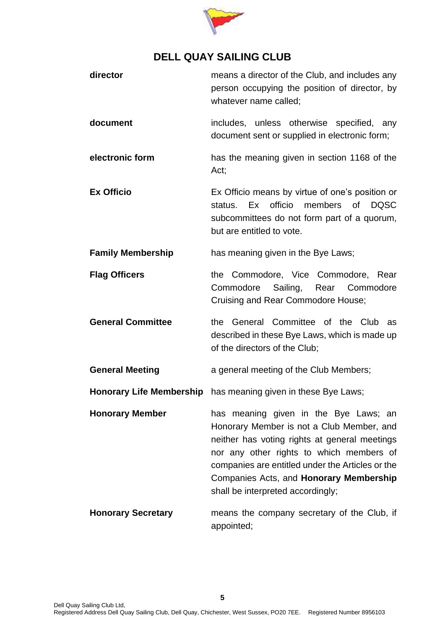

| director                  | means a director of the Club, and includes any<br>person occupying the position of director, by<br>whatever name called;                                                                                                                                                                                                   |
|---------------------------|----------------------------------------------------------------------------------------------------------------------------------------------------------------------------------------------------------------------------------------------------------------------------------------------------------------------------|
| document                  | includes, unless otherwise specified, any<br>document sent or supplied in electronic form;                                                                                                                                                                                                                                 |
| electronic form           | has the meaning given in section 1168 of the<br>Act;                                                                                                                                                                                                                                                                       |
| <b>Ex Officio</b>         | Ex Officio means by virtue of one's position or<br>status. Ex officio members of DQSC<br>subcommittees do not form part of a quorum,<br>but are entitled to vote.                                                                                                                                                          |
| <b>Family Membership</b>  | has meaning given in the Bye Laws;                                                                                                                                                                                                                                                                                         |
| <b>Flag Officers</b>      | the Commodore, Vice Commodore, Rear<br>Sailing, Rear Commodore<br>Commodore<br>Cruising and Rear Commodore House;                                                                                                                                                                                                          |
| <b>General Committee</b>  | the General Committee of the Club as<br>described in these Bye Laws, which is made up<br>of the directors of the Club;                                                                                                                                                                                                     |
| <b>General Meeting</b>    | a general meeting of the Club Members;                                                                                                                                                                                                                                                                                     |
|                           | Honorary Life Membership has meaning given in these Bye Laws;                                                                                                                                                                                                                                                              |
| <b>Honorary Member</b>    | has meaning given in the Bye Laws; an<br>Honorary Member is not a Club Member, and<br>neither has voting rights at general meetings<br>nor any other rights to which members of<br>companies are entitled under the Articles or the<br>Companies Acts, and <b>Honorary Membership</b><br>shall be interpreted accordingly; |
| <b>Honorary Secretary</b> | means the company secretary of the Club, if<br>appointed;                                                                                                                                                                                                                                                                  |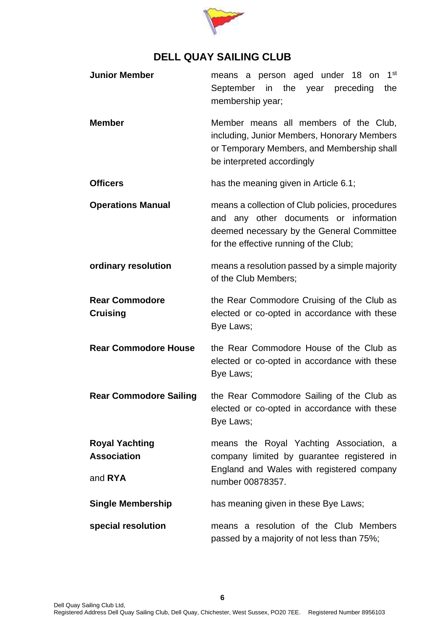

| <b>Junior Member</b>                                   | 1 <sup>st</sup><br>means a person aged under 18 on<br>September in the year preceding<br>the<br>membership year;                                                                 |
|--------------------------------------------------------|----------------------------------------------------------------------------------------------------------------------------------------------------------------------------------|
| <b>Member</b>                                          | Member means all members of the Club,<br>including, Junior Members, Honorary Members<br>or Temporary Members, and Membership shall<br>be interpreted accordingly                 |
| <b>Officers</b>                                        | has the meaning given in Article 6.1;                                                                                                                                            |
| <b>Operations Manual</b>                               | means a collection of Club policies, procedures<br>and any other documents or information<br>deemed necessary by the General Committee<br>for the effective running of the Club; |
| ordinary resolution                                    | means a resolution passed by a simple majority<br>of the Club Members;                                                                                                           |
| <b>Rear Commodore</b><br><b>Cruising</b>               | the Rear Commodore Cruising of the Club as<br>elected or co-opted in accordance with these<br>Bye Laws;                                                                          |
| <b>Rear Commodore House</b>                            | the Rear Commodore House of the Club as<br>elected or co-opted in accordance with these<br>Bye Laws;                                                                             |
| <b>Rear Commodore Sailing</b>                          | the Rear Commodore Sailing of the Club as<br>elected or co-opted in accordance with these<br>Bye Laws;                                                                           |
| <b>Royal Yachting</b><br><b>Association</b><br>and RYA | means the Royal Yachting Association, a<br>company limited by guarantee registered in<br>England and Wales with registered company<br>number 00878357.                           |
| <b>Single Membership</b>                               | has meaning given in these Bye Laws;                                                                                                                                             |
| special resolution                                     | means a resolution of the Club Members<br>passed by a majority of not less than 75%;                                                                                             |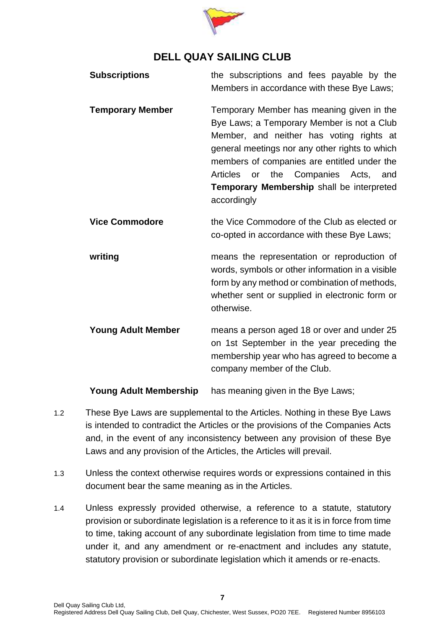

| <b>Subscriptions</b>          | the subscriptions and fees payable by the<br>Members in accordance with these Bye Laws;                                                                                                                                                                                                                                                                       |
|-------------------------------|---------------------------------------------------------------------------------------------------------------------------------------------------------------------------------------------------------------------------------------------------------------------------------------------------------------------------------------------------------------|
| <b>Temporary Member</b>       | Temporary Member has meaning given in the<br>Bye Laws; a Temporary Member is not a Club<br>Member, and neither has voting rights at<br>general meetings nor any other rights to which<br>members of companies are entitled under the<br>the<br>Companies<br><b>Articles</b><br>Acts,<br>or<br>and<br>Temporary Membership shall be interpreted<br>accordingly |
| <b>Vice Commodore</b>         | the Vice Commodore of the Club as elected or<br>co-opted in accordance with these Bye Laws;                                                                                                                                                                                                                                                                   |
| writing                       | means the representation or reproduction of<br>words, symbols or other information in a visible<br>form by any method or combination of methods,<br>whether sent or supplied in electronic form or<br>otherwise.                                                                                                                                              |
| <b>Young Adult Member</b>     | means a person aged 18 or over and under 25<br>on 1st September in the year preceding the<br>membership year who has agreed to become a<br>company member of the Club.                                                                                                                                                                                        |
| <b>Young Adult Membership</b> | has meaning given in the Bye Laws;                                                                                                                                                                                                                                                                                                                            |

- 1.2 These Bye Laws are supplemental to the Articles. Nothing in these Bye Laws is intended to contradict the Articles or the provisions of the Companies Acts and, in the event of any inconsistency between any provision of these Bye Laws and any provision of the Articles, the Articles will prevail.
- 1.3 Unless the context otherwise requires words or expressions contained in this document bear the same meaning as in the Articles.
- 1.4 Unless expressly provided otherwise, a reference to a statute, statutory provision or subordinate legislation is a reference to it as it is in force from time to time, taking account of any subordinate legislation from time to time made under it, and any amendment or re-enactment and includes any statute, statutory provision or subordinate legislation which it amends or re-enacts.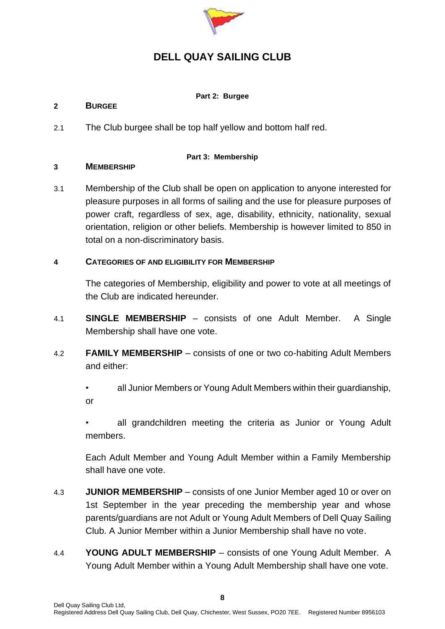

#### **Part 2: Burgee**

#### <span id="page-7-1"></span><span id="page-7-0"></span>**2 BURGEE**

2.1 The Club burgee shall be top half yellow and bottom half red.

#### **Part 3: Membership**

#### <span id="page-7-3"></span><span id="page-7-2"></span>**3 MEMBERSHIP**

3.1 Membership of the Club shall be open on application to anyone interested for pleasure purposes in all forms of sailing and the use for pleasure purposes of power craft, regardless of sex, age, disability, ethnicity, nationality, sexual orientation, religion or other beliefs. Membership is however limited to 850 in total on a non-discriminatory basis.

### <span id="page-7-4"></span>**4 CATEGORIES OF AND ELIGIBILITY FOR MEMBERSHIP**

The categories of Membership, eligibility and power to vote at all meetings of the Club are indicated hereunder.

- 4.1 **SINGLE MEMBERSHIP** consists of one Adult Member. A Single Membership shall have one vote.
- 4.2 **FAMILY MEMBERSHIP** consists of one or two co-habiting Adult Members and either:
	- all Junior Members or Young Adult Members within their guardianship, or

all grandchildren meeting the criteria as Junior or Young Adult members.

Each Adult Member and Young Adult Member within a Family Membership shall have one vote.

- 4.3 **JUNIOR MEMBERSHIP** consists of one Junior Member aged 10 or over on 1st September in the year preceding the membership year and whose parents/guardians are not Adult or Young Adult Members of Dell Quay Sailing Club. A Junior Member within a Junior Membership shall have no vote.
- 4.4 **YOUNG ADULT MEMBERSHIP** consists of one Young Adult Member. A Young Adult Member within a Young Adult Membership shall have one vote.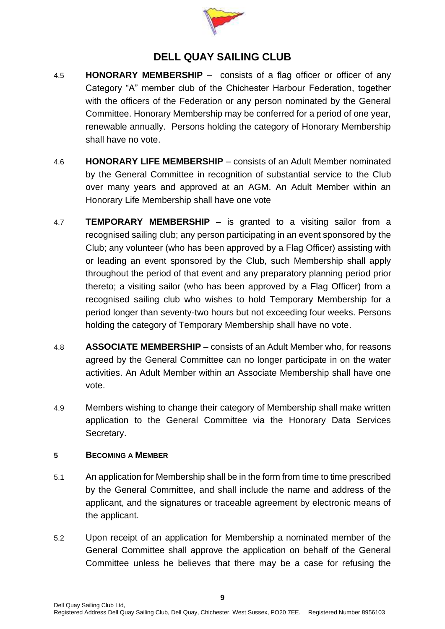

- 4.5 **HONORARY MEMBERSHIP** consists of a flag officer or officer of any Category "A" member club of the Chichester Harbour Federation, together with the officers of the Federation or any person nominated by the General Committee. Honorary Membership may be conferred for a period of one year, renewable annually. Persons holding the category of Honorary Membership shall have no vote.
- 4.6 **HONORARY LIFE MEMBERSHIP** consists of an Adult Member nominated by the General Committee in recognition of substantial service to the Club over many years and approved at an AGM. An Adult Member within an Honorary Life Membership shall have one vote
- 4.7 **TEMPORARY MEMBERSHIP** is granted to a visiting sailor from a recognised sailing club; any person participating in an event sponsored by the Club; any volunteer (who has been approved by a Flag Officer) assisting with or leading an event sponsored by the Club, such Membership shall apply throughout the period of that event and any preparatory planning period prior thereto; a visiting sailor (who has been approved by a Flag Officer) from a recognised sailing club who wishes to hold Temporary Membership for a period longer than seventy-two hours but not exceeding four weeks. Persons holding the category of Temporary Membership shall have no vote.
- 4.8 **ASSOCIATE MEMBERSHIP** consists of an Adult Member who, for reasons agreed by the General Committee can no longer participate in on the water activities. An Adult Member within an Associate Membership shall have one vote.
- 4.9 Members wishing to change their category of Membership shall make written application to the General Committee via the Honorary Data Services Secretary.

### <span id="page-8-0"></span>**5 BECOMING A MEMBER**

- 5.1 An application for Membership shall be in the form from time to time prescribed by the General Committee, and shall include the name and address of the applicant, and the signatures or traceable agreement by electronic means of the applicant.
- 5.2 Upon receipt of an application for Membership a nominated member of the General Committee shall approve the application on behalf of the General Committee unless he believes that there may be a case for refusing the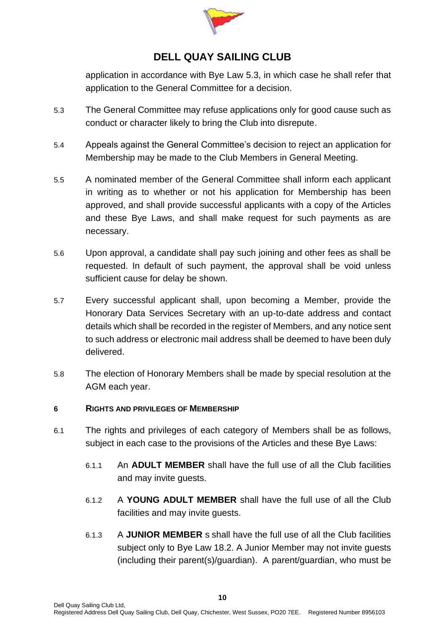

application in accordance with Bye Law 5.3, in which case he shall refer that application to the General Committee for a decision.

- 5.3 The General Committee may refuse applications only for good cause such as conduct or character likely to bring the Club into disrepute.
- 5.4 Appeals against the General Committee's decision to reject an application for Membership may be made to the Club Members in General Meeting.
- 5.5 A nominated member of the General Committee shall inform each applicant in writing as to whether or not his application for Membership has been approved, and shall provide successful applicants with a copy of the Articles and these Bye Laws, and shall make request for such payments as are necessary.
- 5.6 Upon approval, a candidate shall pay such joining and other fees as shall be requested. In default of such payment, the approval shall be void unless sufficient cause for delay be shown.
- 5.7 Every successful applicant shall, upon becoming a Member, provide the Honorary Data Services Secretary with an up-to-date address and contact details which shall be recorded in the register of Members, and any notice sent to such address or electronic mail address shall be deemed to have been duly delivered.
- 5.8 The election of Honorary Members shall be made by special resolution at the AGM each year.

### <span id="page-9-0"></span>**6 RIGHTS AND PRIVILEGES OF MEMBERSHIP**

- 6.1 The rights and privileges of each category of Members shall be as follows, subject in each case to the provisions of the Articles and these Bye Laws:
	- 6.1.1 An **ADULT MEMBER** shall have the full use of all the Club facilities and may invite guests.
	- 6.1.2 A **YOUNG ADULT MEMBER** shall have the full use of all the Club facilities and may invite guests.
	- 6.1.3 A **JUNIOR MEMBER** s shall have the full use of all the Club facilities subject only to Bye Law [18.2.](#page-22-2) A Junior Member may not invite guests (including their parent(s)/guardian). A parent/guardian, who must be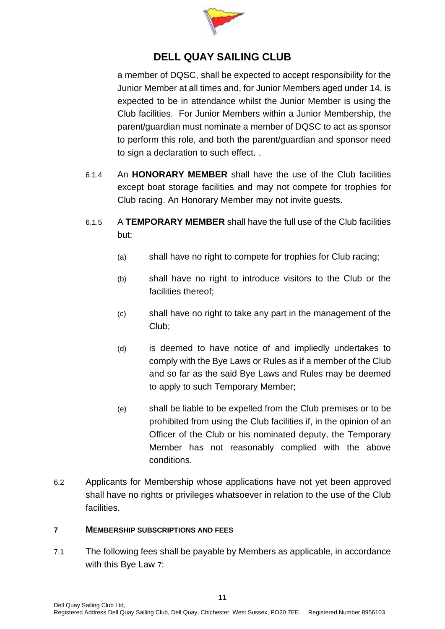

a member of DQSC, shall be expected to accept responsibility for the Junior Member at all times and, for Junior Members aged under 14, is expected to be in attendance whilst the Junior Member is using the Club facilities. For Junior Members within a Junior Membership, the parent/guardian must nominate a member of DQSC to act as sponsor to perform this role, and both the parent/guardian and sponsor need to sign a declaration to such effect. .

- 6.1.4 An **HONORARY MEMBER** shall have the use of the Club facilities except boat storage facilities and may not compete for trophies for Club racing. An Honorary Member may not invite guests.
- 6.1.5 A **TEMPORARY MEMBER** shall have the full use of the Club facilities but:
	- (a) shall have no right to compete for trophies for Club racing;
	- (b) shall have no right to introduce visitors to the Club or the facilities thereof;
	- (c) shall have no right to take any part in the management of the Club;
	- (d) is deemed to have notice of and impliedly undertakes to comply with the Bye Laws or Rules as if a member of the Club and so far as the said Bye Laws and Rules may be deemed to apply to such Temporary Member;
	- (e) shall be liable to be expelled from the Club premises or to be prohibited from using the Club facilities if, in the opinion of an Officer of the Club or his nominated deputy, the Temporary Member has not reasonably complied with the above conditions.
- 6.2 Applicants for Membership whose applications have not yet been approved shall have no rights or privileges whatsoever in relation to the use of the Club facilities.

#### <span id="page-10-0"></span>**7 MEMBERSHIP SUBSCRIPTIONS AND FEES**

7.1 The following fees shall be payable by Members as applicable, in accordance with this Bye Law [7](#page-10-0):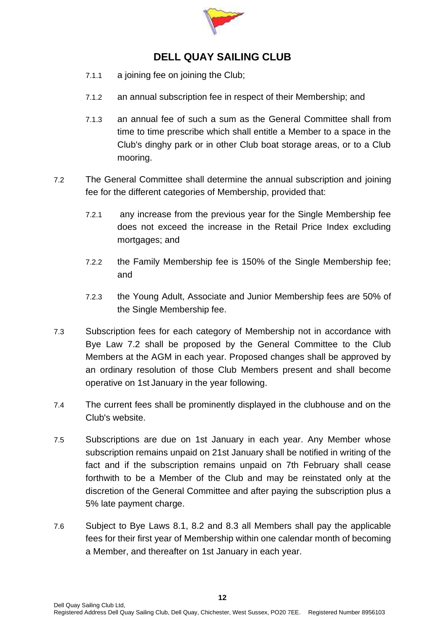

- 7.1.1 a joining fee on joining the Club;
- 7.1.2 an annual subscription fee in respect of their Membership; and
- 7.1.3 an annual fee of such a sum as the General Committee shall from time to time prescribe which shall entitle a Member to a space in the Club's dinghy park or in other Club boat storage areas, or to a Club mooring.
- <span id="page-11-0"></span>7.2 The General Committee shall determine the annual subscription and joining fee for the different categories of Membership, provided that:
	- 7.2.1 any increase from the previous year for the Single Membership fee does not exceed the increase in the Retail Price Index excluding mortgages; and
	- 7.2.2 the Family Membership fee is 150% of the Single Membership fee; and
	- 7.2.3 the Young Adult, Associate and Junior Membership fees are 50% of the Single Membership fee.
- 7.3 Subscription fees for each category of Membership not in accordance with Bye Law [7.2](#page-11-0) shall be proposed by the General Committee to the Club Members at the AGM in each year. Proposed changes shall be approved by an ordinary resolution of those Club Members present and shall become operative on 1st January in the year following.
- 7.4 The current fees shall be prominently displayed in the clubhouse and on the Club's website.
- 7.5 Subscriptions are due on 1st January in each year. Any Member whose subscription remains unpaid on 21st January shall be notified in writing of the fact and if the subscription remains unpaid on 7th February shall cease forthwith to be a Member of the Club and may be reinstated only at the discretion of the General Committee and after paying the subscription plus a 5% late payment charge.
- 7.6 Subject to Bye Laws [8.1,](#page-12-2) [8.2](#page-12-3) and [8.3](#page-12-4) all Members shall pay the applicable fees for their first year of Membership within one calendar month of becoming a Member, and thereafter on 1st January in each year.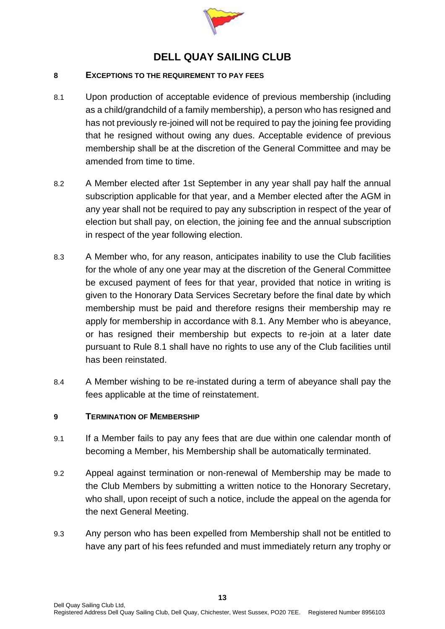

#### <span id="page-12-0"></span>**8 EXCEPTIONS TO THE REQUIREMENT TO PAY FEES**

- <span id="page-12-2"></span>8.1 Upon production of acceptable evidence of previous membership (including as a child/grandchild of a family membership), a person who has resigned and has not previously re-joined will not be required to pay the joining fee providing that he resigned without owing any dues. Acceptable evidence of previous membership shall be at the discretion of the General Committee and may be amended from time to time.
- <span id="page-12-3"></span>8.2 A Member elected after 1st September in any year shall pay half the annual subscription applicable for that year, and a Member elected after the AGM in any year shall not be required to pay any subscription in respect of the year of election but shall pay, on election, the joining fee and the annual subscription in respect of the year following election.
- <span id="page-12-4"></span>8.3 A Member who, for any reason, anticipates inability to use the Club facilities for the whole of any one year may at the discretion of the General Committee be excused payment of fees for that year, provided that notice in writing is given to the Honorary Data Services Secretary before the final date by which membership must be paid and therefore resigns their membership may re apply for membership in accordance with 8.1. Any Member who is abeyance, or has resigned their membership but expects to re-join at a later date pursuant to Rule 8.1 shall have no rights to use any of the Club facilities until has been reinstated.
- 8.4 A Member wishing to be re-instated during a term of abeyance shall pay the fees applicable at the time of reinstatement.

#### <span id="page-12-1"></span>**9 TERMINATION OF MEMBERSHIP**

- 9.1 If a Member fails to pay any fees that are due within one calendar month of becoming a Member, his Membership shall be automatically terminated.
- 9.2 Appeal against termination or non-renewal of Membership may be made to the Club Members by submitting a written notice to the Honorary Secretary, who shall, upon receipt of such a notice, include the appeal on the agenda for the next General Meeting.
- 9.3 Any person who has been expelled from Membership shall not be entitled to have any part of his fees refunded and must immediately return any trophy or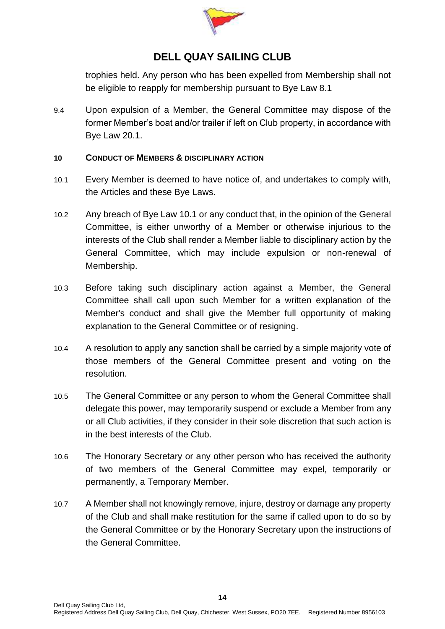

trophies held. Any person who has been expelled from Membership shall not be eligible to reapply for membership pursuant to Bye Law 8.1

9.4 Upon expulsion of a Member, the General Committee may dispose of the former Member's boat and/or trailer if left on Club property, in accordance with Bye Law [20.1.](#page-23-1)

#### <span id="page-13-0"></span>**10 CONDUCT OF MEMBERS & DISCIPLINARY ACTION**

- <span id="page-13-1"></span>10.1 Every Member is deemed to have notice of, and undertakes to comply with, the Articles and these Bye Laws.
- 10.2 Any breach of Bye Law [10.1](#page-13-1) or any conduct that, in the opinion of the General Committee, is either unworthy of a Member or otherwise injurious to the interests of the Club shall render a Member liable to disciplinary action by the General Committee, which may include expulsion or non-renewal of Membership.
- 10.3 Before taking such disciplinary action against a Member, the General Committee shall call upon such Member for a written explanation of the Member's conduct and shall give the Member full opportunity of making explanation to the General Committee or of resigning.
- 10.4 A resolution to apply any sanction shall be carried by a simple majority vote of those members of the General Committee present and voting on the resolution.
- 10.5 The General Committee or any person to whom the General Committee shall delegate this power, may temporarily suspend or exclude a Member from any or all Club activities, if they consider in their sole discretion that such action is in the best interests of the Club.
- 10.6 The Honorary Secretary or any other person who has received the authority of two members of the General Committee may expel, temporarily or permanently, a Temporary Member.
- 10.7 A Member shall not knowingly remove, injure, destroy or damage any property of the Club and shall make restitution for the same if called upon to do so by the General Committee or by the Honorary Secretary upon the instructions of the General Committee.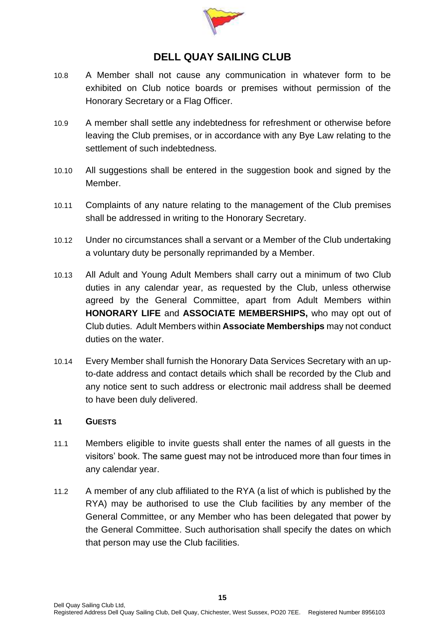

- 10.8 A Member shall not cause any communication in whatever form to be exhibited on Club notice boards or premises without permission of the Honorary Secretary or a Flag Officer.
- 10.9 A member shall settle any indebtedness for refreshment or otherwise before leaving the Club premises, or in accordance with any Bye Law relating to the settlement of such indebtedness.
- 10.10 All suggestions shall be entered in the suggestion book and signed by the Member.
- 10.11 Complaints of any nature relating to the management of the Club premises shall be addressed in writing to the Honorary Secretary.
- 10.12 Under no circumstances shall a servant or a Member of the Club undertaking a voluntary duty be personally reprimanded by a Member.
- 10.13 All Adult and Young Adult Members shall carry out a minimum of two Club duties in any calendar year, as requested by the Club, unless otherwise agreed by the General Committee, apart from Adult Members within **HONORARY LIFE** and **ASSOCIATE MEMBERSHIPS,** who may opt out of Club duties. Adult Members within **Associate Memberships** may not conduct duties on the water.
- 10.14 Every Member shall furnish the Honorary Data Services Secretary with an upto-date address and contact details which shall be recorded by the Club and any notice sent to such address or electronic mail address shall be deemed to have been duly delivered.

#### <span id="page-14-0"></span>**11 GUESTS**

- 11.1 Members eligible to invite guests shall enter the names of all guests in the visitors' book. The same guest may not be introduced more than four times in any calendar year.
- 11.2 A member of any club affiliated to the RYA (a list of which is published by the RYA) may be authorised to use the Club facilities by any member of the General Committee, or any Member who has been delegated that power by the General Committee. Such authorisation shall specify the dates on which that person may use the Club facilities.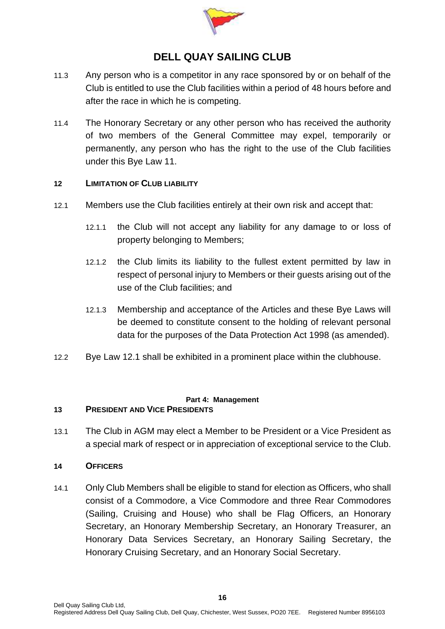

- 11.3 Any person who is a competitor in any race sponsored by or on behalf of the Club is entitled to use the Club facilities within a period of 48 hours before and after the race in which he is competing.
- 11.4 The Honorary Secretary or any other person who has received the authority of two members of the General Committee may expel, temporarily or permanently, any person who has the right to the use of the Club facilities under this Bye Law [11.](#page-14-0)

#### <span id="page-15-0"></span>**12 LIMITATION OF CLUB LIABILITY**

- <span id="page-15-4"></span>12.1 Members use the Club facilities entirely at their own risk and accept that:
	- 12.1.1 the Club will not accept any liability for any damage to or loss of property belonging to Members;
	- 12.1.2 the Club limits its liability to the fullest extent permitted by law in respect of personal injury to Members or their guests arising out of the use of the Club facilities; and
	- 12.1.3 Membership and acceptance of the Articles and these Bye Laws will be deemed to constitute consent to the holding of relevant personal data for the purposes of the Data Protection Act 1998 (as amended).
- 12.2 Bye Law [12.1](#page-15-4) shall be exhibited in a prominent place within the clubhouse.

#### **Part 4: Management**

#### <span id="page-15-2"></span><span id="page-15-1"></span>**13 PRESIDENT AND VICE PRESIDENTS**

13.1 The Club in AGM may elect a Member to be President or a Vice President as a special mark of respect or in appreciation of exceptional service to the Club.

#### <span id="page-15-3"></span>**14 OFFICERS**

14.1 Only Club Members shall be eligible to stand for election as Officers, who shall consist of a Commodore, a Vice Commodore and three Rear Commodores (Sailing, Cruising and House) who shall be Flag Officers, an Honorary Secretary, an Honorary Membership Secretary, an Honorary Treasurer, an Honorary Data Services Secretary, an Honorary Sailing Secretary, the Honorary Cruising Secretary, and an Honorary Social Secretary.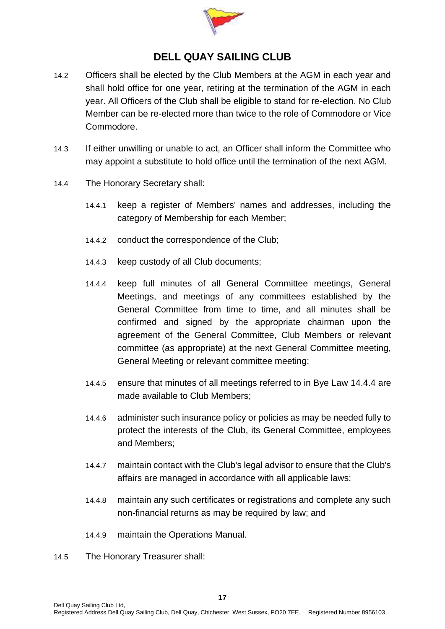

- 14.2 Officers shall be elected by the Club Members at the AGM in each year and shall hold office for one year, retiring at the termination of the AGM in each year. All Officers of the Club shall be eligible to stand for re-election. No Club Member can be re-elected more than twice to the role of Commodore or Vice Commodore.
- 14.3 If either unwilling or unable to act, an Officer shall inform the Committee who may appoint a substitute to hold office until the termination of the next AGM.
- <span id="page-16-0"></span>14.4 The Honorary Secretary shall:
	- 14.4.1 keep a register of Members' names and addresses, including the category of Membership for each Member;
	- 14.4.2 conduct the correspondence of the Club;
	- 14.4.3 keep custody of all Club documents;
	- 14.4.4 keep full minutes of all General Committee meetings, General Meetings, and meetings of any committees established by the General Committee from time to time, and all minutes shall be confirmed and signed by the appropriate chairman upon the agreement of the General Committee, Club Members or relevant committee (as appropriate) at the next General Committee meeting, General Meeting or relevant committee meeting;
	- 14.4.5 ensure that minutes of all meetings referred to in Bye Law [14.4.4](#page-16-0) are made available to Club Members;
	- 14.4.6 administer such insurance policy or policies as may be needed fully to protect the interests of the Club, its General Committee, employees and Members;
	- 14.4.7 maintain contact with the Club's legal advisor to ensure that the Club's affairs are managed in accordance with all applicable laws;
	- 14.4.8 maintain any such certificates or registrations and complete any such non-financial returns as may be required by law; and
	- 14.4.9 maintain the Operations Manual.
- 14.5 The Honorary Treasurer shall: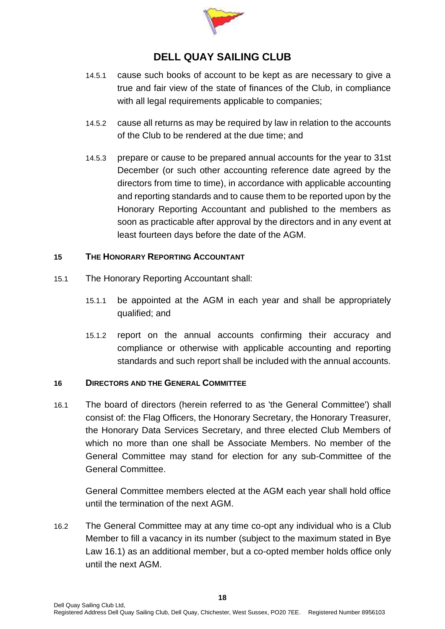

- 14.5.1 cause such books of account to be kept as are necessary to give a true and fair view of the state of finances of the Club, in compliance with all legal requirements applicable to companies;
- 14.5.2 cause all returns as may be required by law in relation to the accounts of the Club to be rendered at the due time; and
- <span id="page-17-3"></span>14.5.3 prepare or cause to be prepared annual accounts for the year to 31st December (or such other accounting reference date agreed by the directors from time to time), in accordance with applicable accounting and reporting standards and to cause them to be reported upon by the Honorary Reporting Accountant and published to the members as soon as practicable after approval by the directors and in any event at least fourteen days before the date of the AGM.

### <span id="page-17-0"></span>**15 THE HONORARY REPORTING ACCOUNTANT**

- 15.1 The Honorary Reporting Accountant shall:
	- 15.1.1 be appointed at the AGM in each year and shall be appropriately qualified; and
	- 15.1.2 report on the annual accounts confirming their accuracy and compliance or otherwise with applicable accounting and reporting standards and such report shall be included with the annual accounts.

#### <span id="page-17-1"></span>**16 DIRECTORS AND THE GENERAL COMMITTEE**

<span id="page-17-2"></span>16.1 The board of directors (herein referred to as 'the General Committee') shall consist of: the Flag Officers, the Honorary Secretary, the Honorary Treasurer, the Honorary Data Services Secretary, and three elected Club Members of which no more than one shall be Associate Members. No member of the General Committee may stand for election for any sub-Committee of the General Committee.

General Committee members elected at the AGM each year shall hold office until the termination of the next AGM.

16.2 The General Committee may at any time co-opt any individual who is a Club Member to fill a vacancy in its number (subject to the maximum stated in Bye Law [16.1\)](#page-17-2) as an additional member, but a co-opted member holds office only until the next AGM.

**18**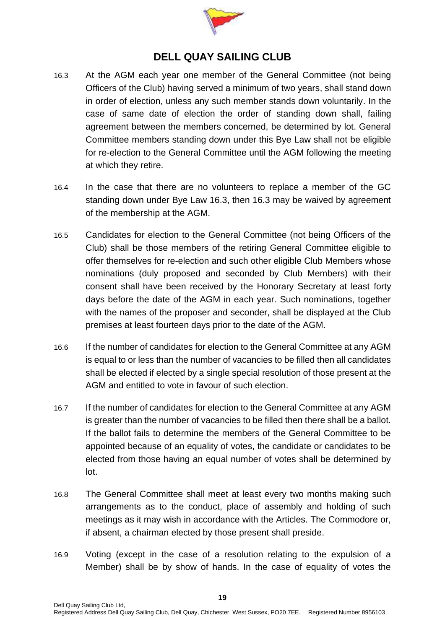

- 16.3 At the AGM each year one member of the General Committee (not being Officers of the Club) having served a minimum of two years, shall stand down in order of election, unless any such member stands down voluntarily. In the case of same date of election the order of standing down shall, failing agreement between the members concerned, be determined by lot. General Committee members standing down under this Bye Law shall not be eligible for re-election to the General Committee until the AGM following the meeting at which they retire.
- 16.4 In the case that there are no volunteers to replace a member of the GC standing down under Bye Law 16.3, then 16.3 may be waived by agreement of the membership at the AGM.
- 16.5 Candidates for election to the General Committee (not being Officers of the Club) shall be those members of the retiring General Committee eligible to offer themselves for re-election and such other eligible Club Members whose nominations (duly proposed and seconded by Club Members) with their consent shall have been received by the Honorary Secretary at least forty days before the date of the AGM in each year. Such nominations, together with the names of the proposer and seconder, shall be displayed at the Club premises at least fourteen days prior to the date of the AGM.
- 16.6 If the number of candidates for election to the General Committee at any AGM is equal to or less than the number of vacancies to be filled then all candidates shall be elected if elected by a single special resolution of those present at the AGM and entitled to vote in favour of such election.
- 16.7 If the number of candidates for election to the General Committee at any AGM is greater than the number of vacancies to be filled then there shall be a ballot. If the ballot fails to determine the members of the General Committee to be appointed because of an equality of votes, the candidate or candidates to be elected from those having an equal number of votes shall be determined by lot.
- 16.8 The General Committee shall meet at least every two months making such arrangements as to the conduct, place of assembly and holding of such meetings as it may wish in accordance with the Articles. The Commodore or, if absent, a chairman elected by those present shall preside.
- 16.9 Voting (except in the case of a resolution relating to the expulsion of a Member) shall be by show of hands. In the case of equality of votes the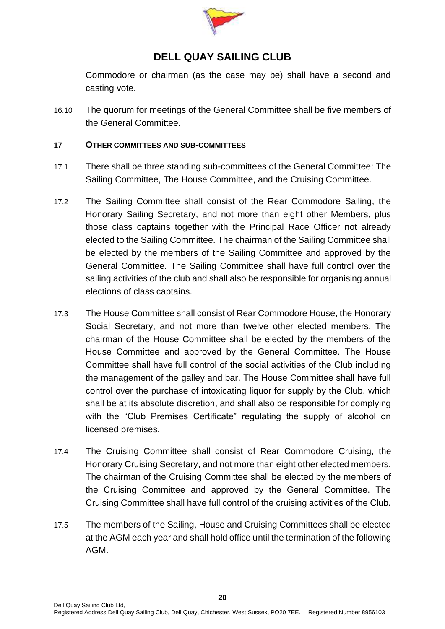

Commodore or chairman (as the case may be) shall have a second and casting vote.

16.10 The quorum for meetings of the General Committee shall be five members of the General Committee.

#### <span id="page-19-0"></span>**17 OTHER COMMITTEES AND SUB-COMMITTEES**

- 17.1 There shall be three standing sub-committees of the General Committee: The Sailing Committee, The House Committee, and the Cruising Committee.
- 17.2 The Sailing Committee shall consist of the Rear Commodore Sailing, the Honorary Sailing Secretary, and not more than eight other Members, plus those class captains together with the Principal Race Officer not already elected to the Sailing Committee. The chairman of the Sailing Committee shall be elected by the members of the Sailing Committee and approved by the General Committee. The Sailing Committee shall have full control over the sailing activities of the club and shall also be responsible for organising annual elections of class captains.
- 17.3 The House Committee shall consist of Rear Commodore House, the Honorary Social Secretary, and not more than twelve other elected members. The chairman of the House Committee shall be elected by the members of the House Committee and approved by the General Committee. The House Committee shall have full control of the social activities of the Club including the management of the galley and bar. The House Committee shall have full control over the purchase of intoxicating liquor for supply by the Club, which shall be at its absolute discretion, and shall also be responsible for complying with the "Club Premises Certificate" regulating the supply of alcohol on licensed premises.
- 17.4 The Cruising Committee shall consist of Rear Commodore Cruising, the Honorary Cruising Secretary, and not more than eight other elected members. The chairman of the Cruising Committee shall be elected by the members of the Cruising Committee and approved by the General Committee. The Cruising Committee shall have full control of the cruising activities of the Club.
- 17.5 The members of the Sailing, House and Cruising Committees shall be elected at the AGM each year and shall hold office until the termination of the following AGM.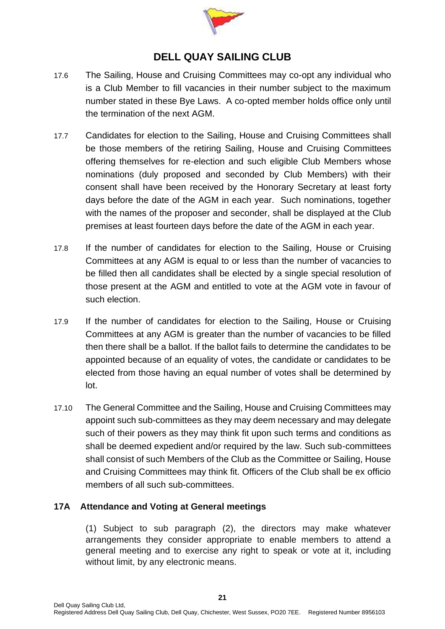

- 17.6 The Sailing, House and Cruising Committees may co-opt any individual who is a Club Member to fill vacancies in their number subject to the maximum number stated in these Bye Laws. A co-opted member holds office only until the termination of the next AGM.
- 17.7 Candidates for election to the Sailing, House and Cruising Committees shall be those members of the retiring Sailing, House and Cruising Committees offering themselves for re-election and such eligible Club Members whose nominations (duly proposed and seconded by Club Members) with their consent shall have been received by the Honorary Secretary at least forty days before the date of the AGM in each year. Such nominations, together with the names of the proposer and seconder, shall be displayed at the Club premises at least fourteen days before the date of the AGM in each year.
- 17.8 If the number of candidates for election to the Sailing, House or Cruising Committees at any AGM is equal to or less than the number of vacancies to be filled then all candidates shall be elected by a single special resolution of those present at the AGM and entitled to vote at the AGM vote in favour of such election.
- 17.9 If the number of candidates for election to the Sailing, House or Cruising Committees at any AGM is greater than the number of vacancies to be filled then there shall be a ballot. If the ballot fails to determine the candidates to be appointed because of an equality of votes, the candidate or candidates to be elected from those having an equal number of votes shall be determined by lot.
- 17.10 The General Committee and the Sailing, House and Cruising Committees may appoint such sub-committees as they may deem necessary and may delegate such of their powers as they may think fit upon such terms and conditions as shall be deemed expedient and/or required by the law. Such sub-committees shall consist of such Members of the Club as the Committee or Sailing, House and Cruising Committees may think fit. Officers of the Club shall be ex officio members of all such sub-committees.

### **17A Attendance and Voting at General meetings**

(1) Subject to sub paragraph (2), the directors may make whatever arrangements they consider appropriate to enable members to attend a general meeting and to exercise any right to speak or vote at it, including without limit, by any electronic means.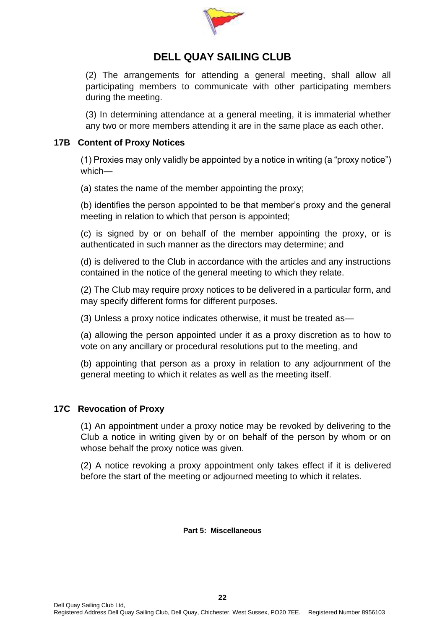

(2) The arrangements for attending a general meeting, shall allow all participating members to communicate with other participating members during the meeting.

(3) In determining attendance at a general meeting, it is immaterial whether any two or more members attending it are in the same place as each other.

#### **17B Content of Proxy Notices**

(1) Proxies may only validly be appointed by a notice in writing (a "proxy notice") which—

(a) states the name of the member appointing the proxy;

(b) identifies the person appointed to be that member's proxy and the general meeting in relation to which that person is appointed;

(c) is signed by or on behalf of the member appointing the proxy, or is authenticated in such manner as the directors may determine; and

(d) is delivered to the Club in accordance with the articles and any instructions contained in the notice of the general meeting to which they relate.

(2) The Club may require proxy notices to be delivered in a particular form, and may specify different forms for different purposes.

(3) Unless a proxy notice indicates otherwise, it must be treated as—

(a) allowing the person appointed under it as a proxy discretion as to how to vote on any ancillary or procedural resolutions put to the meeting, and

(b) appointing that person as a proxy in relation to any adjournment of the general meeting to which it relates as well as the meeting itself.

### **17C Revocation of Proxy**

(1) An appointment under a proxy notice may be revoked by delivering to the Club a notice in writing given by or on behalf of the person by whom or on whose behalf the proxy notice was given.

<span id="page-21-0"></span>(2) A notice revoking a proxy appointment only takes effect if it is delivered before the start of the meeting or adjourned meeting to which it relates.

**Part 5: Miscellaneous**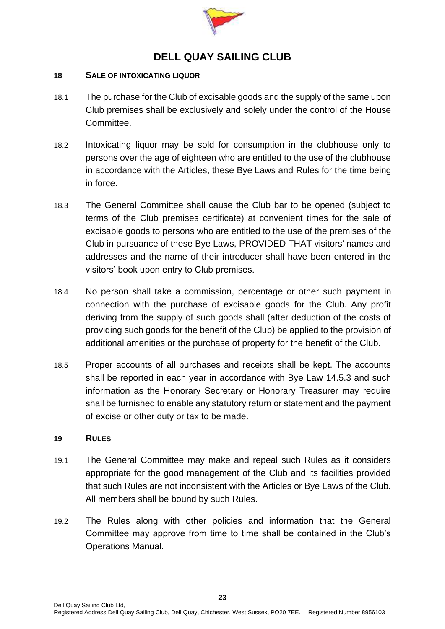

#### <span id="page-22-0"></span>**18 SALE OF INTOXICATING LIQUOR**

- 18.1 The purchase for the Club of excisable goods and the supply of the same upon Club premises shall be exclusively and solely under the control of the House Committee.
- <span id="page-22-2"></span>18.2 Intoxicating liquor may be sold for consumption in the clubhouse only to persons over the age of eighteen who are entitled to the use of the clubhouse in accordance with the Articles, these Bye Laws and Rules for the time being in force.
- 18.3 The General Committee shall cause the Club bar to be opened (subject to terms of the Club premises certificate) at convenient times for the sale of excisable goods to persons who are entitled to the use of the premises of the Club in pursuance of these Bye Laws, PROVIDED THAT visitors' names and addresses and the name of their introducer shall have been entered in the visitors' book upon entry to Club premises.
- 18.4 No person shall take a commission, percentage or other such payment in connection with the purchase of excisable goods for the Club. Any profit deriving from the supply of such goods shall (after deduction of the costs of providing such goods for the benefit of the Club) be applied to the provision of additional amenities or the purchase of property for the benefit of the Club.
- 18.5 Proper accounts of all purchases and receipts shall be kept. The accounts shall be reported in each year in accordance with Bye Law [14.5.3](#page-17-3) and such information as the Honorary Secretary or Honorary Treasurer may require shall be furnished to enable any statutory return or statement and the payment of excise or other duty or tax to be made.

#### <span id="page-22-1"></span>**19 RULES**

- 19.1 The General Committee may make and repeal such Rules as it considers appropriate for the good management of the Club and its facilities provided that such Rules are not inconsistent with the Articles or Bye Laws of the Club. All members shall be bound by such Rules.
- 19.2 The Rules along with other policies and information that the General Committee may approve from time to time shall be contained in the Club's Operations Manual.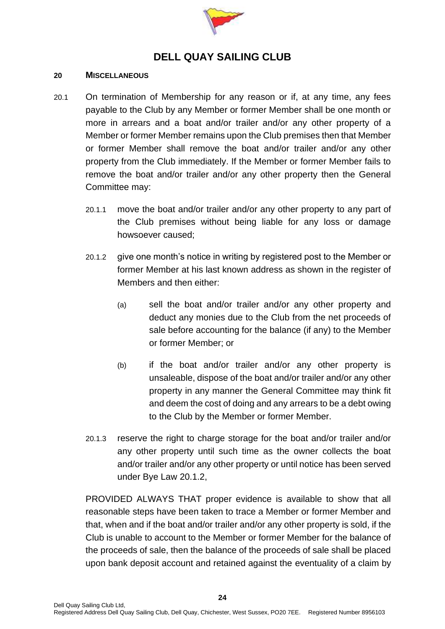

#### <span id="page-23-0"></span>**20 MISCELLANEOUS**

- <span id="page-23-2"></span><span id="page-23-1"></span>20.1 On termination of Membership for any reason or if, at any time, any fees payable to the Club by any Member or former Member shall be one month or more in arrears and a boat and/or trailer and/or any other property of a Member or former Member remains upon the Club premises then that Member or former Member shall remove the boat and/or trailer and/or any other property from the Club immediately. If the Member or former Member fails to remove the boat and/or trailer and/or any other property then the General Committee may:
	- 20.1.1 move the boat and/or trailer and/or any other property to any part of the Club premises without being liable for any loss or damage howsoever caused;
	- 20.1.2 give one month's notice in writing by registered post to the Member or former Member at his last known address as shown in the register of Members and then either:
		- (a) sell the boat and/or trailer and/or any other property and deduct any monies due to the Club from the net proceeds of sale before accounting for the balance (if any) to the Member or former Member; or
		- (b) if the boat and/or trailer and/or any other property is unsaleable, dispose of the boat and/or trailer and/or any other property in any manner the General Committee may think fit and deem the cost of doing and any arrears to be a debt owing to the Club by the Member or former Member.
	- 20.1.3 reserve the right to charge storage for the boat and/or trailer and/or any other property until such time as the owner collects the boat and/or trailer and/or any other property or until notice has been served under Bye Law [20.1.2,](#page-23-2)

PROVIDED ALWAYS THAT proper evidence is available to show that all reasonable steps have been taken to trace a Member or former Member and that, when and if the boat and/or trailer and/or any other property is sold, if the Club is unable to account to the Member or former Member for the balance of the proceeds of sale, then the balance of the proceeds of sale shall be placed upon bank deposit account and retained against the eventuality of a claim by